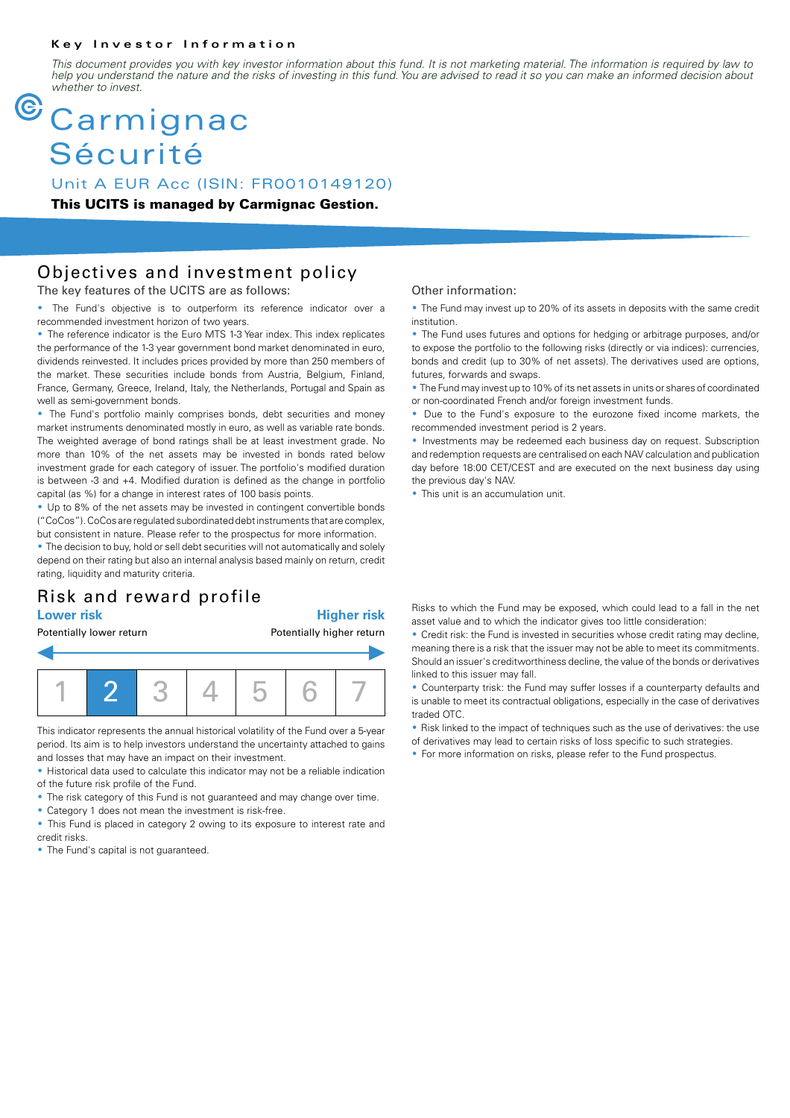#### **Key Investor Information**

*This document provides you with key investor information about this fund. It is not marketing material. The information is required by law to help you understand the nature and the risks of investing in this fund. You are advised to read it so you can make an informed decision about whether to invest.*

# **Carmignac** Sécurité

Unit A EUR Acc (ISIN: FR0010149120)

**This UCITS is managed by Carmignac Gestion.**

### Objectives and investment policy

The key features of the UCITS are as follows:

• The Fund's objective is to outperform its reference indicator over a recommended investment horizon of two years.

• The reference indicator is the Euro MTS 1-3 Year index. This index replicates the performance of the 1-3 year government bond market denominated in euro, dividends reinvested. It includes prices provided by more than 250 members of the market. These securities include bonds from Austria, Belgium, Finland, France, Germany, Greece, Ireland, Italy, the Netherlands, Portugal and Spain as well as semi-government bonds.

• The Fund's portfolio mainly comprises bonds, debt securities and money market instruments denominated mostly in euro, as well as variable rate bonds. The weighted average of bond ratings shall be at least investment grade. No more than 10% of the net assets may be invested in bonds rated below investment grade for each category of issuer. The portfolio's modified duration is between -3 and +4. Modified duration is defined as the change in portfolio capital (as %) for a change in interest rates of 100 basis points.

• Up to 8% of the net assets may be invested in contingent convertible bonds ("CoCos"). CoCos are regulated subordinated debt instruments that are complex, but consistent in nature. Please refer to the prospectus for more information.

• The decision to buy, hold or sell debt securities will not automatically and solely depend on their rating but also an internal analysis based mainly on return, credit rating, liquidity and maturity criteria.

## Risk and reward profile

#### **Lower risk Higher risk**

Potentially lower return **Potentially higher return** 1 2 3 4 5 6 7

This indicator represents the annual historical volatility of the Fund over a 5-year period. Its aim is to help investors understand the uncertainty attached to gains and losses that may have an impact on their investment.

• Historical data used to calculate this indicator may not be a reliable indication of the future risk profile of the Fund.

- The risk category of this Fund is not guaranteed and may change over time.
- Category 1 does not mean the investment is risk-free.

• This Fund is placed in category 2 owing to its exposure to interest rate and credit risks.

• The Fund's capital is not quaranteed.

#### Other information:

• The Fund may invest up to 20% of its assets in deposits with the same credit institution.

• The Fund uses futures and options for hedging or arbitrage purposes, and/or to expose the portfolio to the following risks (directly or via indices): currencies, bonds and credit (up to 30% of net assets). The derivatives used are options, futures, forwards and swaps.

• The Fund may invest up to 10% of its net assets in units or shares of coordinated or non-coordinated French and/or foreign investment funds.

• Due to the Fund's exposure to the eurozone fixed income markets, the recommended investment period is 2 years.

• Investments may be redeemed each business day on request. Subscription and redemption requests are centralised on each NAV calculation and publication day before 18:00 CET/CEST and are executed on the next business day using the previous day's NAV.

• This unit is an accumulation unit.

Risks to which the Fund may be exposed, which could lead to a fall in the net asset value and to which the indicator gives too little consideration:

2 Credit risk: the Fund is invested in securities whose credit rating may decline, meaning there is a risk that the issuer may not be able to meet its commitments. Should an issuer's creditworthiness decline, the value of the bonds or derivatives linked to this issuer may fall.

• Counterparty trisk: the Fund may suffer losses if a counterparty defaults and is unable to meet its contractual obligations, especially in the case of derivatives traded OTC.

2 Risk linked to the impact of techniques such as the use of derivatives: the use of derivatives may lead to certain risks of loss specific to such strategies.

• For more information on risks, please refer to the Fund prospectus.